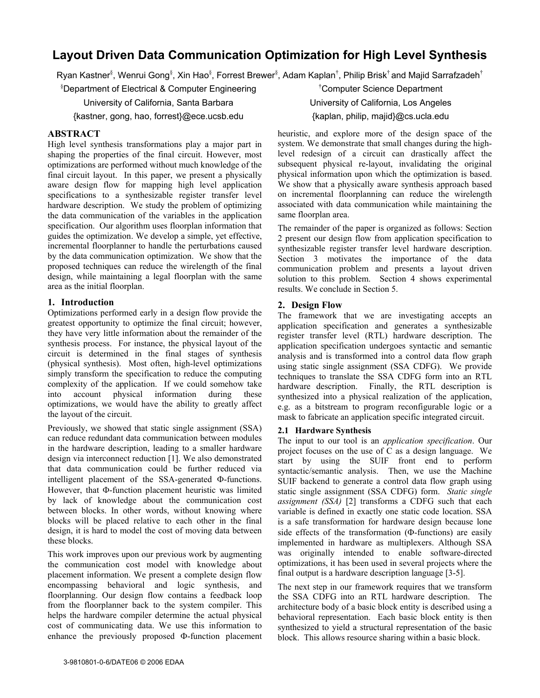# **Layout Driven Data Communication Optimization for High Level Synthesis**

Ryan Kastner<sup>§</sup>, Wenrui Gong<sup>§</sup>, Xin Hao<sup>§</sup>, Forrest Brewer<sup>§</sup>, Adam Kaplan<sup>†</sup>, Philip Brisk<sup>†</sup> and Majid Sarrafzadeh<sup>†</sup>

§ Department of Electrical & Computer Engineering

University of California, Santa Barbara

{kastner, gong, hao, forrest}@ece.ucsb.edu

## **ABSTRACT**

High level synthesis transformations play a major part in shaping the properties of the final circuit. However, most optimizations are performed without much knowledge of the final circuit layout. In this paper, we present a physically aware design flow for mapping high level application specifications to a synthesizable register transfer level hardware description. We study the problem of optimizing the data communication of the variables in the application specification. Our algorithm uses floorplan information that guides the optimization. We develop a simple, yet effective, incremental floorplanner to handle the perturbations caused by the data communication optimization. We show that the proposed techniques can reduce the wirelength of the final design, while maintaining a legal floorplan with the same area as the initial floorplan.

# **1. Introduction**

Optimizations performed early in a design flow provide the greatest opportunity to optimize the final circuit; however, they have very little information about the remainder of the synthesis process. For instance, the physical layout of the circuit is determined in the final stages of synthesis (physical synthesis). Most often, high-level optimizations simply transform the specification to reduce the computing complexity of the application. If we could somehow take into account physical information during these optimizations, we would have the ability to greatly affect the layout of the circuit.

Previously, we showed that static single assignment (SSA) can reduce redundant data communication between modules in the hardware description, leading to a smaller hardware design via interconnect reduction [1]. We also demonstrated that data communication could be further reduced via intelligent placement of the SSA-generated Φ-functions. However, that Φ-function placement heuristic was limited by lack of knowledge about the communication cost between blocks. In other words, without knowing where blocks will be placed relative to each other in the final design, it is hard to model the cost of moving data between these blocks.

This work improves upon our previous work by augmenting the communication cost model with knowledge about placement information. We present a complete design flow encompassing behavioral and logic synthesis, and floorplanning. Our design flow contains a feedback loop from the floorplanner back to the system compiler. This helps the hardware compiler determine the actual physical cost of communicating data. We use this information to enhance the previously proposed Φ-function placement

† Computer Science Department University of California, Los Angeles {kaplan, philip, majid}@cs.ucla.edu

heuristic, and explore more of the design space of the system. We demonstrate that small changes during the highlevel redesign of a circuit can drastically affect the subsequent physical re-layout, invalidating the original physical information upon which the optimization is based. We show that a physically aware synthesis approach based on incremental floorplanning can reduce the wirelength associated with data communication while maintaining the same floorplan area.

The remainder of the paper is organized as follows: Section 2 present our design flow from application specification to synthesizable register transfer level hardware description. Section 3 motivates the importance of the data communication problem and presents a layout driven solution to this problem. Section 4 shows experimental results. We conclude in Section 5.

# **2. Design Flow**

The framework that we are investigating accepts an application specification and generates a synthesizable register transfer level (RTL) hardware description. The application specification undergoes syntactic and semantic analysis and is transformed into a control data flow graph using static single assignment (SSA CDFG). We provide techniques to translate the SSA CDFG form into an RTL hardware description. Finally, the RTL description is synthesized into a physical realization of the application, e.g. as a bitstream to program reconfigurable logic or a mask to fabricate an application specific integrated circuit.

## **2.1 Hardware Synthesis**

The input to our tool is an *application specification*. Our project focuses on the use of C as a design language. We start by using the SUIF front end to perform syntactic/semantic analysis. Then, we use the Machine SUIF backend to generate a control data flow graph using static single assignment (SSA CDFG) form. *Static single assignment (SSA)* [2] transforms a CDFG such that each variable is defined in exactly one static code location. SSA is a safe transformation for hardware design because lone side effects of the transformation (Φ-functions) are easily implemented in hardware as multiplexers. Although SSA was originally intended to enable software-directed optimizations, it has been used in several projects where the final output is a hardware description language [3-5].

The next step in our framework requires that we transform the SSA CDFG into an RTL hardware description. The architecture body of a basic block entity is described using a behavioral representation. Each basic block entity is then synthesized to yield a structural representation of the basic block. This allows resource sharing within a basic block.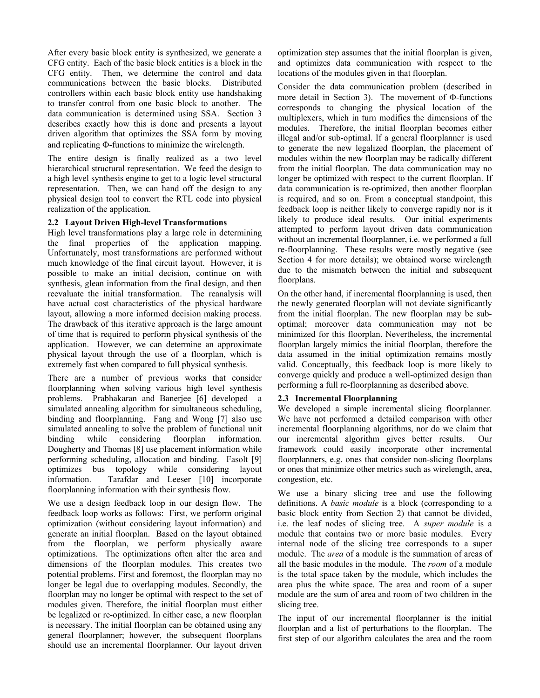After every basic block entity is synthesized, we generate a CFG entity. Each of the basic block entities is a block in the CFG entity. Then, we determine the control and data communications between the basic blocks. Distributed controllers within each basic block entity use handshaking to transfer control from one basic block to another. The data communication is determined using SSA. Section 3 describes exactly how this is done and presents a layout driven algorithm that optimizes the SSA form by moving and replicating Φ-functions to minimize the wirelength.

The entire design is finally realized as a two level hierarchical structural representation. We feed the design to a high level synthesis engine to get to a logic level structural representation. Then, we can hand off the design to any physical design tool to convert the RTL code into physical realization of the application.

## **2.2 Layout Driven High-level Transformations**

High level transformations play a large role in determining the final properties of the application mapping. Unfortunately, most transformations are performed without much knowledge of the final circuit layout. However, it is possible to make an initial decision, continue on with synthesis, glean information from the final design, and then reevaluate the initial transformation. The reanalysis will have actual cost characteristics of the physical hardware layout, allowing a more informed decision making process. The drawback of this iterative approach is the large amount of time that is required to perform physical synthesis of the application. However, we can determine an approximate physical layout through the use of a floorplan, which is extremely fast when compared to full physical synthesis.

There are a number of previous works that consider floorplanning when solving various high level synthesis problems. Prabhakaran and Banerjee [6] developed a simulated annealing algorithm for simultaneous scheduling, binding and floorplanning. Fang and Wong [7] also use simulated annealing to solve the problem of functional unit binding while considering floorplan information. Dougherty and Thomas [8] use placement information while performing scheduling, allocation and binding. Fasolt [9] optimizes bus topology while considering layout information. Tarafdar and Leeser [10] incorporate floorplanning information with their synthesis flow.

We use a design feedback loop in our design flow. The feedback loop works as follows: First, we perform original optimization (without considering layout information) and generate an initial floorplan. Based on the layout obtained from the floorplan, we perform physically aware optimizations. The optimizations often alter the area and dimensions of the floorplan modules. This creates two potential problems. First and foremost, the floorplan may no longer be legal due to overlapping modules. Secondly, the floorplan may no longer be optimal with respect to the set of modules given. Therefore, the initial floorplan must either be legalized or re-optimized. In either case, a new floorplan is necessary. The initial floorplan can be obtained using any general floorplanner; however, the subsequent floorplans should use an incremental floorplanner. Our layout driven

optimization step assumes that the initial floorplan is given, and optimizes data communication with respect to the locations of the modules given in that floorplan.

Consider the data communication problem (described in more detail in Section 3). The movement of Φ-functions corresponds to changing the physical location of the multiplexers, which in turn modifies the dimensions of the modules. Therefore, the initial floorplan becomes either illegal and/or sub-optimal. If a general floorplanner is used to generate the new legalized floorplan, the placement of modules within the new floorplan may be radically different from the initial floorplan. The data communication may no longer be optimized with respect to the current floorplan. If data communication is re-optimized, then another floorplan is required, and so on. From a conceptual standpoint, this feedback loop is neither likely to converge rapidly nor is it likely to produce ideal results. Our initial experiments attempted to perform layout driven data communication without an incremental floorplanner, i.e. we performed a full re-floorplanning. These results were mostly negative (see Section 4 for more details); we obtained worse wirelength due to the mismatch between the initial and subsequent floorplans.

On the other hand, if incremental floorplanning is used, then the newly generated floorplan will not deviate significantly from the initial floorplan. The new floorplan may be suboptimal; moreover data communication may not be minimized for this floorplan. Nevertheless, the incremental floorplan largely mimics the initial floorplan, therefore the data assumed in the initial optimization remains mostly valid. Conceptually, this feedback loop is more likely to converge quickly and produce a well-optimized design than performing a full re-floorplanning as described above.

## **2.3 Incremental Floorplanning**

We developed a simple incremental slicing floorplanner. We have not performed a detailed comparison with other incremental floorplanning algorithms, nor do we claim that our incremental algorithm gives better results. Our framework could easily incorporate other incremental floorplanners, e.g. ones that consider non-slicing floorplans or ones that minimize other metrics such as wirelength, area, congestion, etc.

We use a binary slicing tree and use the following definitions. A *basic module* is a block (corresponding to a basic block entity from Section 2) that cannot be divided, i.e. the leaf nodes of slicing tree. A *super module* is a module that contains two or more basic modules. Every internal node of the slicing tree corresponds to a super module. The *area* of a module is the summation of areas of all the basic modules in the module. The *room* of a module is the total space taken by the module, which includes the area plus the white space. The area and room of a super module are the sum of area and room of two children in the slicing tree.

The input of our incremental floorplanner is the initial floorplan and a list of perturbations to the floorplan. The first step of our algorithm calculates the area and the room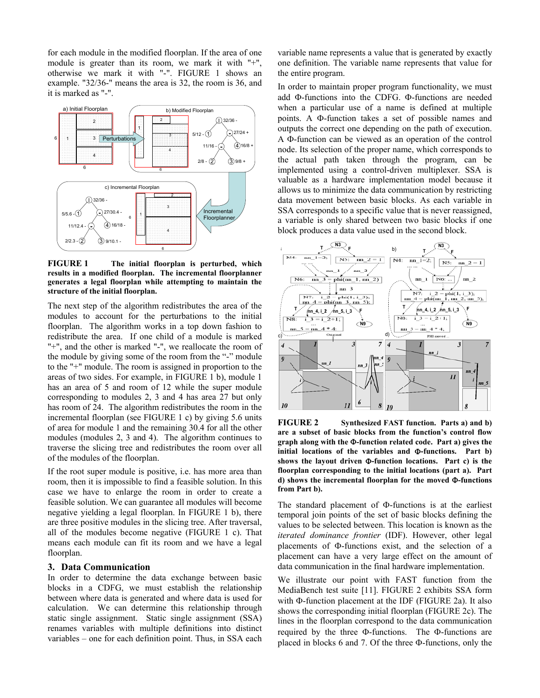for each module in the modified floorplan. If the area of one module is greater than its room, we mark it with "+", otherwise we mark it with "-". FIGURE 1 shows an example. "32/36-" means the area is 32, the room is 36, and it is marked as "-".



**FIGURE 1 The initial floorplan is perturbed, which results in a modified floorplan. The incremental floorplanner generates a legal floorplan while attempting to maintain the structure of the initial floorplan.** 

The next step of the algorithm redistributes the area of the modules to account for the perturbations to the initial floorplan. The algorithm works in a top down fashion to redistribute the area. If one child of a module is marked "+", and the other is marked "-", we reallocate the room of the module by giving some of the room from the "-" module to the "+" module. The room is assigned in proportion to the areas of two sides. For example, in FIGURE 1 b), module 1 has an area of 5 and room of 12 while the super module corresponding to modules 2, 3 and 4 has area 27 but only has room of 24. The algorithm redistributes the room in the incremental floorplan (see FIGURE 1 c) by giving 5.6 units of area for module 1 and the remaining 30.4 for all the other modules (modules 2, 3 and 4). The algorithm continues to traverse the slicing tree and redistributes the room over all of the modules of the floorplan.

If the root super module is positive, i.e. has more area than room, then it is impossible to find a feasible solution. In this case we have to enlarge the room in order to create a feasible solution. We can guarantee all modules will become negative yielding a legal floorplan. In FIGURE 1 b), there are three positive modules in the slicing tree. After traversal, all of the modules become negative (FIGURE 1 c). That means each module can fit its room and we have a legal floorplan.

#### **3. Data Communication**

In order to determine the data exchange between basic blocks in a CDFG, we must establish the relationship between where data is generated and where data is used for calculation. We can determine this relationship through static single assignment. Static single assignment (SSA) renames variables with multiple definitions into distinct variables – one for each definition point. Thus, in SSA each variable name represents a value that is generated by exactly one definition. The variable name represents that value for the entire program.

In order to maintain proper program functionality, we must add Φ-functions into the CDFG. Φ-functions are needed when a particular use of a name is defined at multiple points. A Φ-function takes a set of possible names and outputs the correct one depending on the path of execution. A Φ-function can be viewed as an operation of the control node. Its selection of the proper name, which corresponds to the actual path taken through the program, can be implemented using a control-driven multiplexer. SSA is valuable as a hardware implementation model because it allows us to minimize the data communication by restricting data movement between basic blocks. As each variable in SSA corresponds to a specific value that is never reassigned, a variable is only shared between two basic blocks if one block produces a data value used in the second block.



**FIGURE 2 Synthesized FAST function. Parts a) and b) are a subset of basic blocks from the function's control flow graph along with the** Φ**-function related code. Part a) gives the initial locations of the variables and** Φ**-functions. Part b) shows the layout driven** Φ**-function locations. Part c) is the floorplan corresponding to the initial locations (part a). Part d) shows the incremental floorplan for the moved** Φ**-functions from Part b).** 

The standard placement of Φ-functions is at the earliest temporal join points of the set of basic blocks defining the values to be selected between. This location is known as the *iterated dominance frontier* (IDF). However, other legal placements of Φ-functions exist, and the selection of a placement can have a very large effect on the amount of data communication in the final hardware implementation.

We illustrate our point with FAST function from the MediaBench test suite [11]. FIGURE 2 exhibits SSA form with Φ-function placement at the IDF (FIGURE 2a). It also shows the corresponding initial floorplan (FIGURE 2c). The lines in the floorplan correspond to the data communication required by the three Φ-functions. The Φ-functions are placed in blocks 6 and 7. Of the three Φ-functions, only the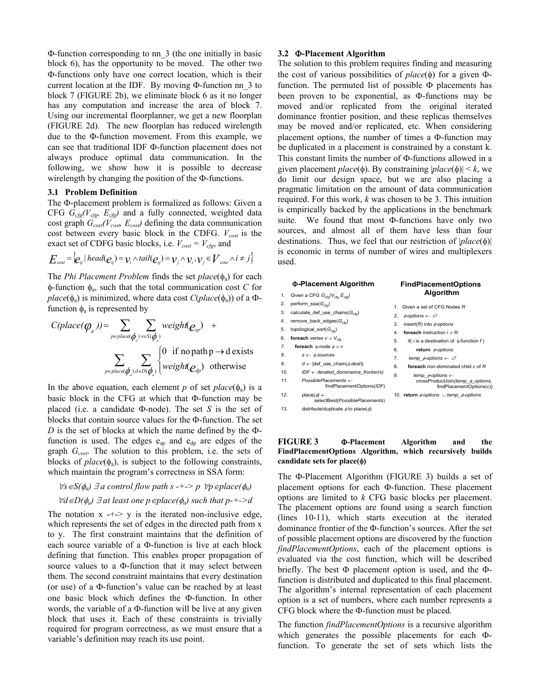Φ-function corresponding to nn\_3 (the one initially in basic block 6), has the opportunity to be moved. The other two Φ-functions only have one correct location, which is their current location at the IDF. By moving Φ-function nn\_3 to block 7 (FIGURE 2b), we eliminate block 6 as it no longer has any computation and increase the area of block 7. Using our incremental floorplanner, we get a new floorplan (FIGURE 2d). The new floorplan has reduced wirelength due to the Φ-function movement. From this example, we can see that traditional IDF Φ-function placement does not always produce optimal data communication. In the following, we show how it is possible to decrease wirelength by changing the position of the Φ-functions.

#### **3.1 Problem Definition**

The Φ-placement problem is formalized as follows: Given a CFG  $G_{cfg}(V_{cfg}, E_{cfg})$  and a fully connected, weighted data cost graph  $G_{cost}(V_{cost}, E_{cost})$  defining the data communication cost between every basic block in the CDFG.  $V_{cost}$  is the exact set of CDFG basic blocks, i.e.  $V_{cost} = V_{cfg}$ , and

$$
E_{\text{cost}} = \{e_{ij} | head(e_{ij}) = v_i \wedge tail(e_{ij}) = v_j \wedge v_i, v_j \in V_{\text{cost}} \wedge i \neq j\}
$$

The *Phi Placement Problem* finds the set *place*(φa) for each φ-function φa, such that the total communication cost *C* for  $place(\phi_a)$  is minimized, where data cost  $C(place(\phi_a))$  of a  $\Phi$ function  $φ_a$  is represented by

$$
C(place(\varphi_a)) = \sum_{p \in place(\varphi_a) s \in S(\varphi_a)} \sum_{s \in S(\varphi_a)} weight(\varphi_{sp}) +
$$
  

$$
\sum_{p \in place(\varphi_a) d \in D(\varphi_a)} \begin{cases} 0 & \text{if no path } p \to \text{d exists} \\ weight(\varphi_{ap}) & \text{otherwise} \end{cases}
$$

In the above equation, each element  $p$  of set  $place(\phi_a)$  is a basic block in the CFG at which that Φ-function may be placed (i.e. a candidate Φ-node). The set *S* is the set of blocks that contain source values for the Φ-function. The set *D* is the set of blocks at which the name defined by the Φfunction is used. The edges  $e_{sp}$  and  $e_{dp}$  are edges of the graph *Gcost*. The solution to this problem, i.e. the sets of blocks of  $place(\phi_a)$ , is subject to the following constraints, which maintain the program's correctness in SSA form:

# $\forall s \in S(\phi_a)$  ∃ a control flow path s -+-> p  $\forall p \in place(\phi_a)$

<sup>∀</sup>*d*∈*D(*φ*a)* ∃ *at least one p*∈*place(*φ*a) such that p-+->d* 

The notation  $x \rightarrow +\infty$  y is the iterated non-inclusive edge, which represents the set of edges in the directed path from x to y. The first constraint maintains that the definition of each source variable of a Φ-function is live at each block defining that function. This enables proper propagation of source values to a Φ-function that it may select between them. The second constraint maintains that every destination (or use) of a Φ-function's value can be reached by at least one basic block which defines the Φ-function. In other words, the variable of a Φ-function will be live at any given block that uses it. Each of these constraints is trivially required for program correctness, as we must ensure that a variable's definition may reach its use point.

#### **3.2** Φ**-Placement Algorithm**

The solution to this problem requires finding and measuring the cost of various possibilities of *place*(φ) for a given Φfunction. The permuted list of possible  $\Phi$  placements has been proven to be exponential, as Φ-functions may be moved and/or replicated from the original iterated dominance frontier position, and these replicas themselves may be moved and/or replicated, etc. When considering placement options, the number of times a Φ-function may be duplicated in a placement is constrained by a constant k. This constant limits the number of Φ-functions allowed in a given placement *place*( $\phi$ ). By constraining  $|place(\phi)| \leq k$ , we do limit our design space, but we are also placing a pragmatic limitation on the amount of data communication required. For this work, *k* was chosen to be 3. This intuition is empirically backed by the applications in the benchmark suite. We found that most Φ-functions have only two sources, and almost all of them have less than four destinations. Thus, we feel that our restriction of |*place*(φ)| is economic in terms of number of wires and multiplexers used.

|     | <b><math>\Phi</math>-Placement Algorithm</b>                  | <b>FindPlacementOptions</b>                                       |  |  |
|-----|---------------------------------------------------------------|-------------------------------------------------------------------|--|--|
| 1.  | Given a CFG $G_{cfo}(V_{cfo} E_{cfo})$                        | Algorithm                                                         |  |  |
| 2.  | perform_ssa( $G_{cta}$ )                                      | Given a set of CFG Nodes R<br>1.                                  |  |  |
| 3.  | calculate_def_use_chains(G <sub>cfa</sub> )                   | 2.<br>$\phi$ -options $\leftarrow \varnothing$                    |  |  |
| 4.  | remove_back_edges( $G_{cb}$ )                                 | 3.<br>insert(R) into $\phi$ -options                              |  |  |
| 5.  | topological_sort( $G_{cfo}$ )                                 | <b>foreach</b> instruction $i \in R$<br>4.                        |  |  |
| 6.  | foreach vertex $v \in V_{cb}$                                 | 5.<br>if( <i>i</i> is a destination of $\phi$ -function f)        |  |  |
| 7.  | foreach $\phi$ -node $\phi \in V$                             | 6.<br>return $\phi$ -options                                      |  |  |
| 8.  | $s \leftarrow \phi$ sources                                   | 7.<br>temp $\phi$ -options $\leftarrow \varnothing$               |  |  |
| 9.  | $d \leftarrow  def $ use chain( $\phi$ .dest)                 | 8.<br>foreach non-dominated child c of R                          |  |  |
| 10. | $IDF \leftarrow iterated\_dominance\_fronter(s)$              | 9.<br>temp $\phi$ -options $\leftarrow$                           |  |  |
| 11. | $Possible Placements \leftarrow$<br>findPlacementOptions(IDF) | crossProductJoin(temp $\phi$ options,<br>findPlacementOptions(c)) |  |  |
| 12. | $place(\phi) \leftarrow$<br>selectBest(PossiblePlacements)    | 10. return $\phi$ -options $\cup$ temp_ $\phi$ -options           |  |  |
| 13. | distribute/duplicate $\phi$ to place( $\phi$ )                |                                                                   |  |  |

#### **FIGURE 3** Φ**-Placement Algorithm and the FindPlacementOptions Algorithm, which recursively builds candidate sets for place(**φ**)**

The Φ-Placement Algorithm (FIGURE 3) builds a set of placement options for each Φ-function. These placement options are limited to *k* CFG basic blocks per placement. The placement options are found using a search function (lines 10-11), which starts execution at the iterated dominance frontier of the Φ-function's sources. After the set of possible placement options are discovered by the function *findPlacementOptions*, each of the placement options is evaluated via the cost function, which will be described briefly. The best  $\Phi$  placement option is used, and the  $\Phi$ function is distributed and duplicated to this final placement. The algorithm's internal representation of each placement option is a set of numbers, where each number represents a CFG block where the Φ-function must be placed.

The function *findPlacementOptions* is a recursive algorithm which generates the possible placements for each Φfunction. To generate the set of sets which lists the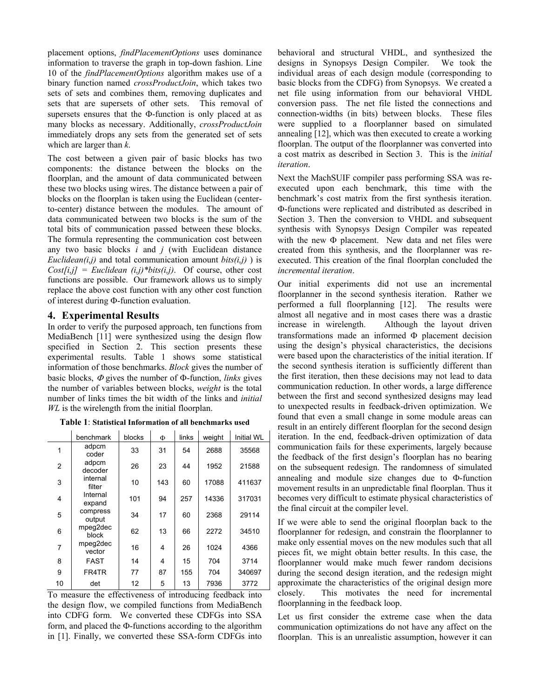placement options, *findPlacementOptions* uses dominance information to traverse the graph in top-down fashion. Line 10 of the *findPlacementOptions* algorithm makes use of a binary function named *crossProductJoin*, which takes two sets of sets and combines them, removing duplicates and sets that are supersets of other sets. This removal of supersets ensures that the Φ-function is only placed at as many blocks as necessary. Additionally, *crossProductJoin* immediately drops any sets from the generated set of sets which are larger than *k*.

The cost between a given pair of basic blocks has two components: the distance between the blocks on the floorplan, and the amount of data communicated between these two blocks using wires. The distance between a pair of blocks on the floorplan is taken using the Euclidean (centerto-center) distance between the modules. The amount of data communicated between two blocks is the sum of the total bits of communication passed between these blocks. The formula representing the communication cost between any two basic blocks *i* and *j* (with Euclidean distance *Euclidean(i,j)* and total communication amount *bits(i,j)* ) is  $Cost[i,j] = Euclidean (i,j)*bits(i,j)$ . Of course, other cost functions are possible. Our framework allows us to simply replace the above cost function with any other cost function of interest during Φ-function evaluation.

## **4. Experimental Results**

In order to verify the purposed approach, ten functions from MediaBench [11] were synthesized using the design flow specified in Section 2. This section presents these experimental results. Table 1 shows some statistical information of those benchmarks. *Block* gives the number of basic blocks, <sup>Φ</sup> gives the number of Φ-function, *links* gives the number of variables between blocks, *weight* is the total number of links times the bit width of the links and *initial WL* is the wirelength from the initial floorplan.

|  |  |  |  | Table 1: Statistical Information of all benchmarks used |  |
|--|--|--|--|---------------------------------------------------------|--|
|--|--|--|--|---------------------------------------------------------|--|

|                | benchmark          | blocks | Φ   | links | weight | Initial WL |
|----------------|--------------------|--------|-----|-------|--------|------------|
| 1              | adpcm<br>coder     | 33     | 31  | 54    | 2688   | 35568      |
| $\overline{2}$ | adpcm<br>decoder   | 26     | 23  | 44    | 1952   | 21588      |
| 3              | internal<br>filter | 10     | 143 | 60    | 17088  | 411637     |
| 4              | Internal<br>expand | 101    | 94  | 257   | 14336  | 317031     |
| 5              | compress<br>output | 34     | 17  | 60    | 2368   | 29114      |
| 6              | mpeg2dec<br>block  | 62     | 13  | 66    | 2272   | 34510      |
| 7              | mpeg2dec<br>vector | 16     | 4   | 26    | 1024   | 4366       |
| 8              | <b>FAST</b>        | 14     | 4   | 15    | 704    | 3714       |
| 9              | FR4TR              | 77     | 87  | 155   | 704    | 340697     |
| 10             | det                | 12     | 5   | 13    | 7936   | 3772       |

To measure the effectiveness of introducing feedback into the design flow, we compiled functions from MediaBench into CDFG form. We converted these CDFGs into SSA form, and placed the Φ-functions according to the algorithm in [1]. Finally, we converted these SSA-form CDFGs into behavioral and structural VHDL, and synthesized the designs in Synopsys Design Compiler. We took the individual areas of each design module (corresponding to basic blocks from the CDFG) from Synopsys. We created a net file using information from our behavioral VHDL conversion pass. The net file listed the connections and connection-widths (in bits) between blocks. These files were supplied to a floorplanner based on simulated annealing [12], which was then executed to create a working floorplan. The output of the floorplanner was converted into a cost matrix as described in Section 3. This is the *initial iteration*.

Next the MachSUIF compiler pass performing SSA was reexecuted upon each benchmark, this time with the benchmark's cost matrix from the first synthesis iteration. Φ-functions were replicated and distributed as described in Section 3. Then the conversion to VHDL and subsequent synthesis with Synopsys Design Compiler was repeated with the new Φ placement. New data and net files were created from this synthesis, and the floorplanner was reexecuted. This creation of the final floorplan concluded the *incremental iteration*.

Our initial experiments did not use an incremental floorplanner in the second synthesis iteration. Rather we performed a full floorplanning [12]. The results were almost all negative and in most cases there was a drastic increase in wirelength. Although the layout driven transformations made an informed Φ placement decision using the design's physical characteristics, the decisions were based upon the characteristics of the initial iteration. If the second synthesis iteration is sufficiently different than the first iteration, then these decisions may not lead to data communication reduction. In other words, a large difference between the first and second synthesized designs may lead to unexpected results in feedback-driven optimization. We found that even a small change in some module areas can result in an entirely different floorplan for the second design iteration. In the end, feedback-driven optimization of data communication fails for these experiments, largely because the feedback of the first design's floorplan has no bearing on the subsequent redesign. The randomness of simulated annealing and module size changes due to Φ-function movement results in an unpredictable final floorplan. Thus it becomes very difficult to estimate physical characteristics of the final circuit at the compiler level.

If we were able to send the original floorplan back to the floorplanner for redesign, and constrain the floorplanner to make only essential moves on the new modules such that all pieces fit, we might obtain better results. In this case, the floorplanner would make much fewer random decisions during the second design iteration, and the redesign might approximate the characteristics of the original design more closely. This motivates the need for incremental floorplanning in the feedback loop.

Let us first consider the extreme case when the data communication optimizations do not have any affect on the floorplan. This is an unrealistic assumption, however it can